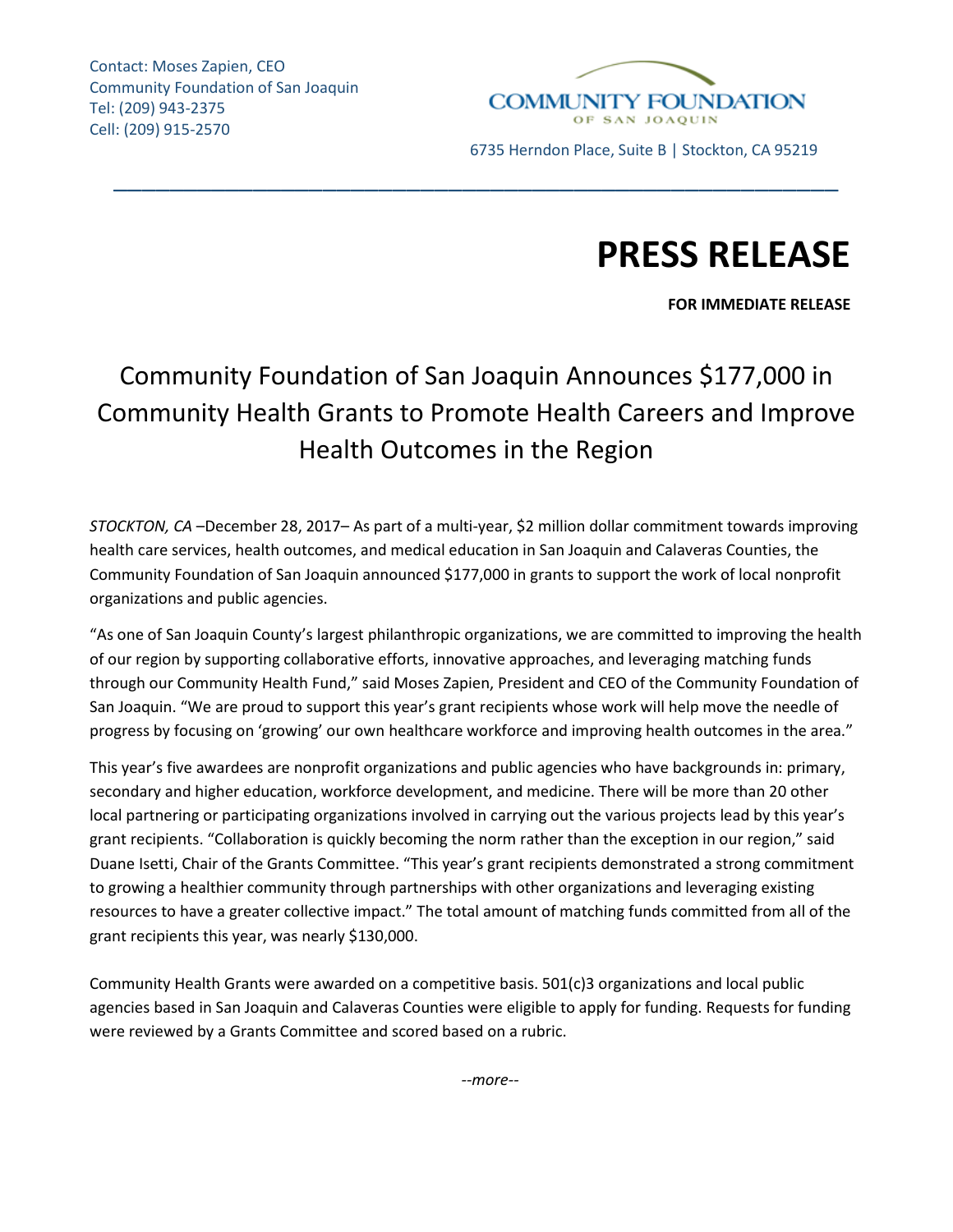Contact: Moses Zapien, CEO Community Foundation of San Joaquin Tel: (209) 943-2375 Cell: (209) 915-2570



# **PRESS RELEASE**

**FOR IMMEDIATE RELEASE**

# Community Foundation of San Joaquin Announces \$177,000 in Community Health Grants to Promote Health Careers and Improve Health Outcomes in the Region

\_\_\_\_\_\_\_\_\_\_\_\_\_\_\_\_\_\_\_\_\_\_\_\_\_\_\_\_\_\_\_\_\_\_\_\_\_\_\_\_\_\_\_\_\_\_\_\_\_\_\_\_

*STOCKTON, CA* –December 28, 2017– As part of a multi-year, \$2 million dollar commitment towards improving health care services, health outcomes, and medical education in San Joaquin and Calaveras Counties, the Community Foundation of San Joaquin announced \$177,000 in grants to support the work of local nonprofit organizations and public agencies.

"As one of San Joaquin County's largest philanthropic organizations, we are committed to improving the health of our region by supporting collaborative efforts, innovative approaches, and leveraging matching funds through our Community Health Fund," said Moses Zapien, President and CEO of the Community Foundation of San Joaquin. "We are proud to support this year's grant recipients whose work will help move the needle of progress by focusing on 'growing' our own healthcare workforce and improving health outcomes in the area."

This year's five awardees are nonprofit organizations and public agencies who have backgrounds in: primary, secondary and higher education, workforce development, and medicine. There will be more than 20 other local partnering or participating organizations involved in carrying out the various projects lead by this year's grant recipients. "Collaboration is quickly becoming the norm rather than the exception in our region," said Duane Isetti, Chair of the Grants Committee. "This year's grant recipients demonstrated a strong commitment to growing a healthier community through partnerships with other organizations and leveraging existing resources to have a greater collective impact." The total amount of matching funds committed from all of the grant recipients this year, was nearly \$130,000.

Community Health Grants were awarded on a competitive basis. 501(c)3 organizations and local public agencies based in San Joaquin and Calaveras Counties were eligible to apply for funding. Requests for funding were reviewed by a Grants Committee and scored based on a rubric.

*--more--*